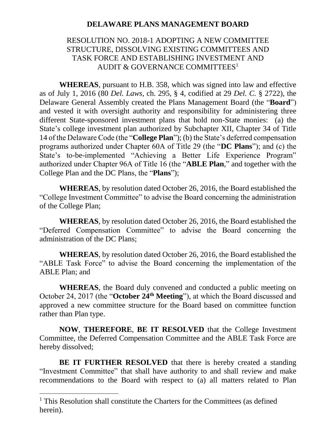## **DELAWARE PLANS MANAGEMENT BOARD**

## RESOLUTION NO. 2018-1 ADOPTING A NEW COMMITTEE STRUCTURE, DISSOLVING EXISTING COMMITTEES AND TASK FORCE AND ESTABLISHING INVESTMENT AND AUDIT & GOVERNANCE COMMITTEES<sup>1</sup>

**WHEREAS**, pursuant to H.B. 358, which was signed into law and effective as of July 1, 2016 (80 *Del. Laws*, ch. 295, § 4, codified at 29 *Del. C.* § 2722), the Delaware General Assembly created the Plans Management Board (the "**Board**") and vested it with oversight authority and responsibility for administering three different State-sponsored investment plans that hold non-State monies: (a) the State's college investment plan authorized by Subchapter XII, Chapter 34 of Title 14 of the Delaware Code (the "**College Plan**"); (b) the State's deferred compensation programs authorized under Chapter 60A of Title 29 (the "**DC Plans**"); and (c) the State's to-be-implemented "Achieving a Better Life Experience Program" authorized under Chapter 96A of Title 16 (the "**ABLE Plan**," and together with the College Plan and the DC Plans, the "**Plans**");

**WHEREAS**, by resolution dated October 26, 2016, the Board established the "College Investment Committee" to advise the Board concerning the administration of the College Plan;

**WHEREAS**, by resolution dated October 26, 2016, the Board established the "Deferred Compensation Committee" to advise the Board concerning the administration of the DC Plans;

**WHEREAS**, by resolution dated October 26, 2016, the Board established the "ABLE Task Force" to advise the Board concerning the implementation of the ABLE Plan; and

**WHEREAS**, the Board duly convened and conducted a public meeting on October 24, 2017 (the "**October 24th Meeting**"), at which the Board discussed and approved a new committee structure for the Board based on committee function rather than Plan type.

**NOW**, **THEREFORE**, **BE IT RESOLVED** that the College Investment Committee, the Deferred Compensation Committee and the ABLE Task Force are hereby dissolved;

**BE IT FURTHER RESOLVED** that there is hereby created a standing "Investment Committee" that shall have authority to and shall review and make recommendations to the Board with respect to (a) all matters related to Plan

 $\overline{a}$ 

<sup>&</sup>lt;sup>1</sup> This Resolution shall constitute the Charters for the Committees (as defined herein).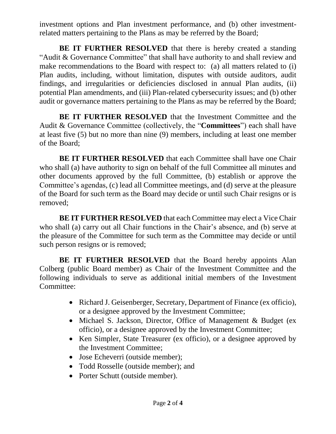investment options and Plan investment performance, and (b) other investmentrelated matters pertaining to the Plans as may be referred by the Board;

**BE IT FURTHER RESOLVED** that there is hereby created a standing "Audit & Governance Committee" that shall have authority to and shall review and make recommendations to the Board with respect to: (a) all matters related to (i) Plan audits, including, without limitation, disputes with outside auditors, audit findings, and irregularities or deficiencies disclosed in annual Plan audits, (ii) potential Plan amendments, and (iii) Plan-related cybersecurity issues; and (b) other audit or governance matters pertaining to the Plans as may be referred by the Board;

**BE IT FURTHER RESOLVED** that the Investment Committee and the Audit & Governance Committee (collectively, the "**Committees**") each shall have at least five (5) but no more than nine (9) members, including at least one member of the Board;

**BE IT FURTHER RESOLVED** that each Committee shall have one Chair who shall (a) have authority to sign on behalf of the full Committee all minutes and other documents approved by the full Committee, (b) establish or approve the Committee's agendas, (c) lead all Committee meetings, and (d) serve at the pleasure of the Board for such term as the Board may decide or until such Chair resigns or is removed;

**BE IT FURTHER RESOLVED** that each Committee may elect a Vice Chair who shall (a) carry out all Chair functions in the Chair's absence, and (b) serve at the pleasure of the Committee for such term as the Committee may decide or until such person resigns or is removed;

**BE IT FURTHER RESOLVED** that the Board hereby appoints Alan Colberg (public Board member) as Chair of the Investment Committee and the following individuals to serve as additional initial members of the Investment Committee:

- Richard J. Geisenberger, Secretary, Department of Finance (ex officio), or a designee approved by the Investment Committee;
- Michael S. Jackson, Director, Office of Management & Budget (ex officio), or a designee approved by the Investment Committee;
- Ken Simpler, State Treasurer (ex officio), or a designee approved by the Investment Committee;
- Jose Echeverri (outside member);
- Todd Rosselle (outside member); and
- Porter Schutt (outside member).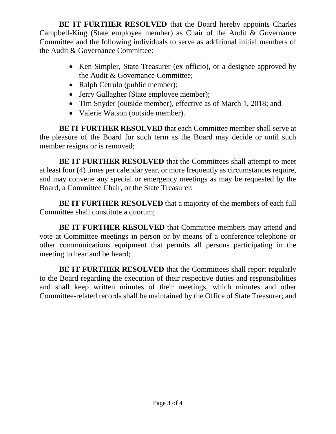**BE IT FURTHER RESOLVED** that the Board hereby appoints Charles Campbell-King (State employee member) as Chair of the Audit & Governance Committee and the following individuals to serve as additional initial members of the Audit & Governance Committee:

- Ken Simpler, State Treasurer (ex officio), or a designee approved by the Audit & Governance Committee;
- Ralph Cetrulo (public member);
- Jerry Gallagher (State employee member);
- Tim Snyder (outside member), effective as of March 1, 2018; and
- Valerie Watson (outside member).

**BE IT FURTHER RESOLVED** that each Committee member shall serve at the pleasure of the Board for such term as the Board may decide or until such member resigns or is removed;

**BE IT FURTHER RESOLVED** that the Committees shall attempt to meet at least four (4) times per calendar year, or more frequently as circumstances require, and may convene any special or emergency meetings as may be requested by the Board, a Committee Chair, or the State Treasurer;

**BE IT FURTHER RESOLVED** that a majority of the members of each full Committee shall constitute a quorum;

**BE IT FURTHER RESOLVED** that Committee members may attend and vote at Committee meetings in person or by means of a conference telephone or other communications equipment that permits all persons participating in the meeting to hear and be heard;

**BE IT FURTHER RESOLVED** that the Committees shall report regularly to the Board regarding the execution of their respective duties and responsibilities and shall keep written minutes of their meetings, which minutes and other Committee-related records shall be maintained by the Office of State Treasurer; and